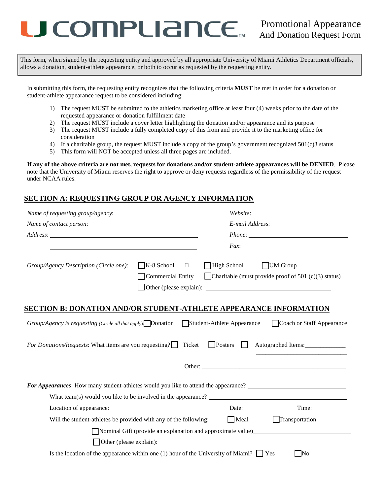# COMPLIANCE<sub>TM</sub> Promotional Appearance

This form, when signed by the requesting entity and approved by all appropriate University of Miami Athletics Department officials, allows a donation, student-athlete appearance, or both to occur as requested by the requesting entity.

In submitting this form, the requesting entity recognizes that the following criteria **MUST** be met in order for a donation or student-athlete appearance request to be considered including:

- 1) The request MUST be submitted to the athletics marketing office at least four (4) weeks prior to the date of the requested appearance or donation fulfillment date
- 2) The request MUST include a cover letter highlighting the donation and/or appearance and its purpose
- 3) The request MUST include a fully completed copy of this from and provide it to the marketing office for consideration
- 4) If a charitable group, the request MUST include a copy of the group's government recognized 501(c)3 status
- 5) This form will NOT be accepted unless all three pages are included.

**If any of the above criteria are not met, requests for donations and/or student-athlete appearances will be DENIED**. Please note that the University of Miami reserves the right to approve or deny requests regardless of the permissibility of the request under NCAA rules.

#### **SECTION A: REQUESTING GROUP OR AGENCY INFORMATION**

|                                                                                              |                                                                     |                    | $\label{thm:2} Website: \begin{tabular}{ c c c } \hline \multicolumn{3}{ c }{\textbf{W}} & \multicolumn{3}{ c }{\textbf{W}} & \multicolumn{3}{ c }{\textbf{W}} \\ \hline \multicolumn{3}{ c }{\textbf{W}} & \multicolumn{3}{ c }{\textbf{W}} & \multicolumn{3}{ c }{\textbf{W}} \\ \hline \multicolumn{3}{ c }{\textbf{W}} & \multicolumn{3}{ c }{\textbf{W}} & \multicolumn{3}{ c }{\textbf{W}} \\ \hline \multicolumn{3}{ c }{\textbf{W}} & \mult$ |  |
|----------------------------------------------------------------------------------------------|---------------------------------------------------------------------|--------------------|------------------------------------------------------------------------------------------------------------------------------------------------------------------------------------------------------------------------------------------------------------------------------------------------------------------------------------------------------------------------------------------------------------------------------------------------------|--|
|                                                                                              |                                                                     |                    |                                                                                                                                                                                                                                                                                                                                                                                                                                                      |  |
|                                                                                              |                                                                     |                    |                                                                                                                                                                                                                                                                                                                                                                                                                                                      |  |
|                                                                                              |                                                                     |                    | Fax:                                                                                                                                                                                                                                                                                                                                                                                                                                                 |  |
| Group/Agency Description (Circle one):                                                       | $K-8$ School<br>$\overline{\phantom{a}}$ . $\overline{\phantom{a}}$ | $\Box$ High School | <b>UM</b> Group                                                                                                                                                                                                                                                                                                                                                                                                                                      |  |
|                                                                                              | <b>Commercial Entity</b>                                            |                    | Charitable (must provide proof of 501 $(c)(3)$ status)                                                                                                                                                                                                                                                                                                                                                                                               |  |
|                                                                                              |                                                                     |                    |                                                                                                                                                                                                                                                                                                                                                                                                                                                      |  |
| <u>SECTION B: DONATION AND/OR STUDENT-ATHLETE APPEARANCE INFORMATION</u>                     |                                                                     |                    |                                                                                                                                                                                                                                                                                                                                                                                                                                                      |  |
| $Group/Agency$ is requesting (Circle all that apply). Donation Student-Athlete Appearance    |                                                                     |                    | Coach or Staff Appearance                                                                                                                                                                                                                                                                                                                                                                                                                            |  |
| For Donations/Requests: What items are you requesting?□ Ticket □ Posters □                   |                                                                     |                    |                                                                                                                                                                                                                                                                                                                                                                                                                                                      |  |
|                                                                                              |                                                                     |                    |                                                                                                                                                                                                                                                                                                                                                                                                                                                      |  |
| <b>For Appearances:</b> How many student-athletes would you like to attend the appearance?   |                                                                     |                    |                                                                                                                                                                                                                                                                                                                                                                                                                                                      |  |
|                                                                                              |                                                                     |                    | What team(s) would you like to be involved in the appearance?                                                                                                                                                                                                                                                                                                                                                                                        |  |
|                                                                                              |                                                                     |                    | Date:                                                                                                                                                                                                                                                                                                                                                                                                                                                |  |
| Will the student-athletes be provided with any of the following:                             |                                                                     |                    | Meal Transportation                                                                                                                                                                                                                                                                                                                                                                                                                                  |  |
|                                                                                              |                                                                     |                    | Nominal Gift (provide an explanation and approximate value)                                                                                                                                                                                                                                                                                                                                                                                          |  |
|                                                                                              |                                                                     |                    |                                                                                                                                                                                                                                                                                                                                                                                                                                                      |  |
| Is the location of the appearance within one (1) hour of the University of Miami? $\Box$ Yes |                                                                     |                    | $\blacksquare$ No                                                                                                                                                                                                                                                                                                                                                                                                                                    |  |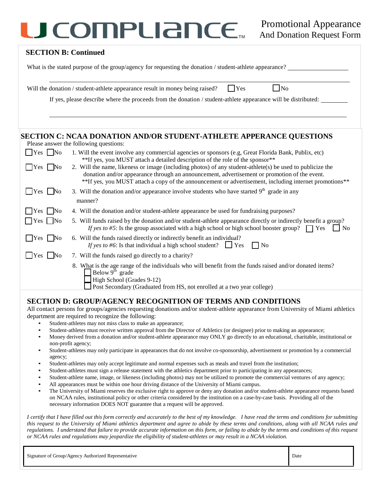### *JCOMPURINCE* Promotional Appearance

#### **SECTION B: Continued**

What is the stated purpose of the group/agency for requesting the donation / student-athlete appearance?

|  | Will the donation / student-athlete appearance result in money being raised? |  | $\blacksquare$ $\blacksquare$ $\blacksquare$ | $\overline{N_{0}}$ |
|--|------------------------------------------------------------------------------|--|----------------------------------------------|--------------------|
|--|------------------------------------------------------------------------------|--|----------------------------------------------|--------------------|

If yes, please describe where the proceeds from the donation / student-athlete appearance will be distributed:

#### **SECTION C: NCAA DONATION AND/OR STUDENT-ATHLETE APPERANCE QUESTIONS**

|  |  | Please answer the following questions: |
|--|--|----------------------------------------|
|  |  |                                        |

| $Yes \tNo$                    | 1. Will the event involve any commercial agencies or sponsors (e.g, Great Florida Bank, Publix, etc)                                                                                                                                                                                                                                                                                                 |
|-------------------------------|------------------------------------------------------------------------------------------------------------------------------------------------------------------------------------------------------------------------------------------------------------------------------------------------------------------------------------------------------------------------------------------------------|
| $\Box$ Yes $\Box$ No          | **If yes, you MUST attach a detailed description of the role of the sponsor**<br>2. Will the name, likeness or image (including photos) of any student-athlete(s) be used to publicize the<br>donation and/or appearance through an announcement, advertisement or promotion of the event.<br>**If yes, you MUST attach a copy of the announcement or advertisement, including internet promotions** |
| $\Box$ Yes $\Box$ No          | 3. Will the donation and/or appearance involve students who have started $9th$ grade in any                                                                                                                                                                                                                                                                                                          |
|                               | manner?                                                                                                                                                                                                                                                                                                                                                                                              |
| $ $   Yes   No                | 4. Will the donation and/or student-athlete appearance be used for fundraising purposes?                                                                                                                                                                                                                                                                                                             |
| $\Box$ Yes $\Box$ No          | 5. Will funds raised by the donation and/or student-athlete appearance directly or indirectly benefit a group?<br>If yes to #5: Is the group associated with a high school or high school booster group? $\Box$ Yes<br>$\overline{N}$                                                                                                                                                                |
| $\Box$ Yes $\Box$<br>$\rm No$ | 6. Will the funds raised directly or indirectly benefit an individual?<br>If yes to #6: Is that individual a high school student? $\Box$ Yes<br>$\Box$ No                                                                                                                                                                                                                                            |
| Yes   No                      | 7. Will the funds raised go directly to a charity?                                                                                                                                                                                                                                                                                                                                                   |
|                               | 8. What is the age range of the individuals who will benefit from the funds raised and/or donated items?<br>Below $9^{\text{th}}$ grade<br>High School (Grades 9-12)<br>Post Secondary (Graduated from HS, not enrolled at a two year college)                                                                                                                                                       |
|                               |                                                                                                                                                                                                                                                                                                                                                                                                      |

#### **SECTION D: GROUP/AGENCY RECOGNITION OF TERMS AND CONDITIONS**

All contact persons for groups/agencies requesting donations and/or student-athlete appearance from University of Miami athletics department are required to recognize the following:

- Student-athletes may not miss class to make an appearance;
- Student-athletes must receive written approval from the Director of Athletics (or designee) prior to making an appearance;
- Money derived from a donation and/or student-athlete appearance may ONLY go directly to an educational, charitable, institutional or non-profit agency;
- Student-athletes may only participate in appearances that do not involve co-sponsorship, advertisement or promotion by a commercial agency;
- Student-athletes may only accept legitimate and normal expenses such as meals and travel from the institution;
- Student-athletes must sign a release statement with the athletics department prior to participating in any appearances;
- Student-athlete name, image, or likeness (including photos) may not be utilized to promote the commercial ventures of any agency;
- All appearances must be within one hour driving distance of the University of Miami campus.
- The University of Miami reserves the exclusive right to approve or deny any donation and/or student-athlete appearance requests based on NCAA rules, institutional policy or other criteria considered by the institution on a case-by-case basis. Providing all of the necessary information DOES NOT guarantee that a request will be approved.

*I certify that I have filled out this form correctly and accurately to the best of my knowledge. I have read the terms and conditions for submitting this request to the University of Miami athletics department and agree to abide by these terms and conditions, along with all NCAA rules and regulations. I understand that failure to provide accurate information on this form, or failing to abide by the terms and conditions of this request or NCAA rules and regulations may jeopardize the eligibility of student-athletes or may result in a NCAA violation.*

| Signature of Group/Agency Authorized Representative | Date |
|-----------------------------------------------------|------|
|-----------------------------------------------------|------|